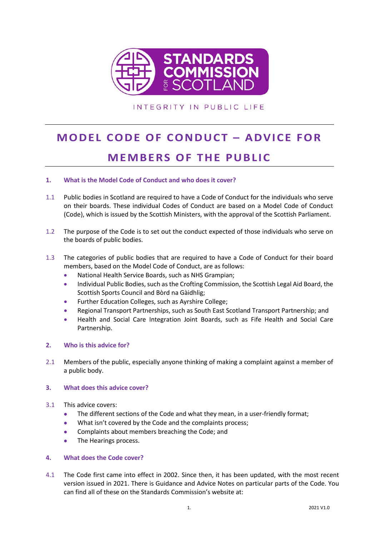

INTEGRITY IN PUBLIC LIFE

# **MODEL CODE OF CONDUCT – ADVICE FOR MEMBERS OF THE PUBLIC**

## **1. What is the Model Code of Conduct and who does it cover?**

- 1.1 Public bodies in Scotland are required to have a Code of Conduct for the individuals who serve on their boards. These individual Codes of Conduct are based on a Model Code of Conduct (Code), which is issued by the Scottish Ministers, with the approval of the Scottish Parliament.
- 1.2 The purpose of the Code is to set out the conduct expected of those individuals who serve on the boards of public bodies.
- 1.3 The categories of public bodies that are required to have a Code of Conduct for their board members, based on the Model Code of Conduct, are as follows:
	- National Health Service Boards, such as NHS Grampian;
	- Individual Public Bodies, such as the Crofting Commission, the Scottish Legal Aid Board, the Scottish Sports Council and Bòrd na Gàidhlig;
	- Further Education Colleges, such as Ayrshire College;
	- Regional Transport Partnerships, such as South East Scotland Transport Partnership; and
	- Health and Social Care Integration Joint Boards, such as Fife Health and Social Care Partnership.

### **2. Who is this advice for?**

2.1 Members of the public, especially anyone thinking of making a complaint against a member of a public body.

### **3. What does this advice cover?**

- 3.1 This advice covers:
	- The different sections of the Code and what they mean, in a user-friendly format;
	- What isn't covered by the Code and the complaints process;
	- Complaints about members breaching the Code; and
	- The Hearings process.

### **4. What does the Code cover?**

4.1 The Code first came into effect in 2002. Since then, it has been updated, with the most recent version issued in 2021. There is Guidance and Advice Notes on particular parts of the Code. You can find all of these on the Standards Commission's website at: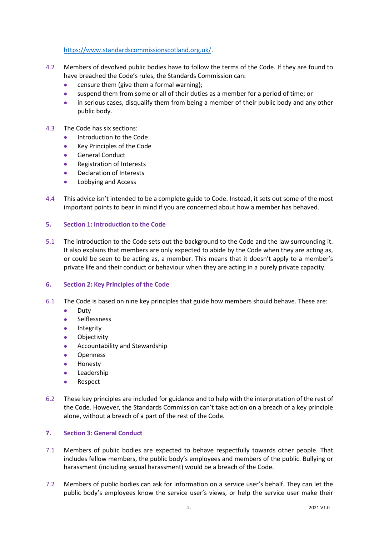[https://www.standardscommissionscotland.org.uk/.](https://www.standardscommissionscotland.org.uk/)

- 4.2 Members of devolved public bodies have to follow the terms of the Code. If they are found to have breached the Code's rules, the Standards Commission can:
	- censure them (give them a formal warning);
	- suspend them from some or all of their duties as a member for a period of time; or
	- in serious cases, disqualify them from being a member of their public body and any other public body.
- 4.3 The Code has six sections:
	- Introduction to the Code
	- Key Principles of the Code
	- General Conduct
	- Registration of Interests
	- Declaration of Interests
	- Lobbying and Access
- 4.4 This advice isn't intended to be a complete guide to Code. Instead, it sets out some of the most important points to bear in mind if you are concerned about how a member has behaved.

### **5. Section 1: Introduction to the Code**

5.1 The introduction to the Code sets out the background to the Code and the law surrounding it. It also explains that members are only expected to abide by the Code when they are acting as, or could be seen to be acting as, a member. This means that it doesn't apply to a member's private life and their conduct or behaviour when they are acting in a purely private capacity.

### **6. Section 2: Key Principles of the Code**

- 6.1 The Code is based on nine key principles that guide how members should behave. These are:
	- Duty
	- Selflessness
	- **Integrity**
	- Objectivity
	- Accountability and Stewardship
	- **Openness**
	- Honesty
	- **Leadership**
	- Respect
- 6.2 These key principles are included for guidance and to help with the interpretation of the rest of the Code. However, the Standards Commission can't take action on a breach of a key principle alone, without a breach of a part of the rest of the Code.

### **7. Section 3: General Conduct**

- 7.1 Members of public bodies are expected to behave respectfully towards other people. That includes fellow members, the public body's employees and members of the public. Bullying or harassment (including sexual harassment) would be a breach of the Code.
- 7.2 Members of public bodies can ask for information on a service user's behalf. They can let the public body's employees know the service user's views, or help the service user make their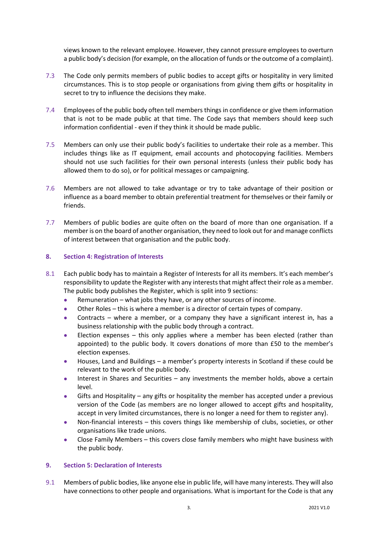views known to the relevant employee. However, they cannot pressure employees to overturn a public body's decision (for example, on the allocation of funds or the outcome of a complaint).

- 7.3 The Code only permits members of public bodies to accept gifts or hospitality in very limited circumstances. This is to stop people or organisations from giving them gifts or hospitality in secret to try to influence the decisions they make.
- 7.4 Employees of the public body often tell members things in confidence or give them information that is not to be made public at that time. The Code says that members should keep such information confidential - even if they think it should be made public.
- 7.5 Members can only use their public body's facilities to undertake their role as a member. This includes things like as IT equipment, email accounts and photocopying facilities. Members should not use such facilities for their own personal interests (unless their public body has allowed them to do so), or for political messages or campaigning.
- 7.6 Members are not allowed to take advantage or try to take advantage of their position or influence as a board member to obtain preferential treatment for themselves or their family or friends.
- 7.7 Members of public bodies are quite often on the board of more than one organisation. If a member is on the board of another organisation, they need to look out for and manage conflicts of interest between that organisation and the public body.

## **8. Section 4: Registration of Interests**

- 8.1 Each public body has to maintain a Register of Interests for all its members. It's each member's responsibility to update the Register with any intereststhat might affect their role as a member. The public body publishes the Register, which is split into 9 sections:
	- Remuneration what jobs they have, or any other sources of income.
	- Other Roles this is where a member is a director of certain types of company.
	- Contracts where a member, or a company they have a significant interest in, has a business relationship with the public body through a contract.
	- Election expenses  $-$  this only applies where a member has been elected (rather than appointed) to the public body. It covers donations of more than £50 to the member's election expenses.
	- Houses, Land and Buildings a member's property interests in Scotland if these could be relevant to the work of the public body.
	- Interest in Shares and Securities any investments the member holds, above a certain level.
	- Gifts and Hospitality any gifts or hospitality the member has accepted under a previous version of the Code (as members are no longer allowed to accept gifts and hospitality, accept in very limited circumstances, there is no longer a need for them to register any).
	- Non-financial interests this covers things like membership of clubs, societies, or other organisations like trade unions.
	- Close Family Members this covers close family members who might have business with the public body.

### **9. Section 5: Declaration of Interests**

9.1 Members of public bodies, like anyone else in public life, will have many interests. They will also have connections to other people and organisations. What is important for the Code is that any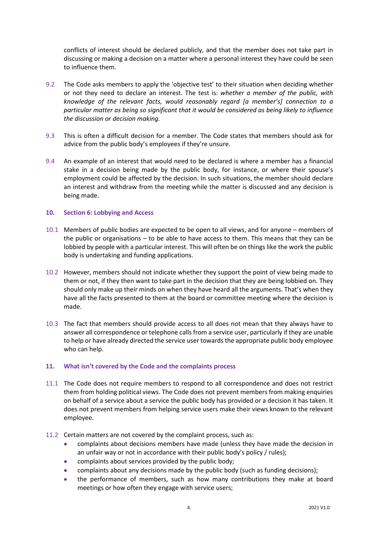conflicts of interest should be declared publicly, and that the member does not take part in discussing or making a decision on a matter where a personal interest they have could be seen to influence them.

- 9.2 The Code asks members to apply the 'objective test' to their situation when deciding whether or not they need to declare an interest. The test is: *whether a member of the public, with knowledge of the relevant facts, would reasonably regard [a member's] connection to a particular matter as being so significant that it would be considered as being likely to influence the discussion or decision making.*
- 9.3 This is often a difficult decision for a member. The Code states that members should ask for advice from the public body's employees if they're unsure.
- 9.4 An example of an interest that would need to be declared is where a member has a financial stake in a decision being made by the public body, for instance, or where their spouse's employment could be affected by the decision. In such situations, the member should declare an interest and withdraw from the meeting while the matter is discussed and any decision is being made.

### **10. Section 6: Lobbying and Access**

- 10.1 Members of public bodies are expected to be open to all views, and for anyone members of the public or organisations – to be able to have access to them. This means that they can be lobbied by people with a particular interest. This will often be on things like the work the public body is undertaking and funding applications.
- 10.2 However, members should not indicate whether they support the point of view being made to them or not, if they then want to take part in the decision that they are being lobbied on. They should only make up their minds on when they have heard all the arguments. That's when they have all the facts presented to them at the board or committee meeting where the decision is made.
- 10.3 The fact that members should provide access to all does not mean that they always have to answer all correspondence or telephone calls from a service user, particularly if they are unable to help or have already directed the service user towards the appropriate public body employee who can help.

### **11. What isn't covered by the Code and the complaints process**

- 11.1 The Code does not require members to respond to all correspondence and does not restrict them from holding political views. The Code does not prevent members from making enquiries on behalf of a service about a service the public body has provided or a decision it has taken. It does not prevent members from helping service users make their views known to the relevant employee.
- 11.2 Certain matters are not covered by the complaint process, such as:
	- complaints about decisions members have made (unless they have made the decision in an unfair way or not in accordance with their public body's policy / rules);
	- complaints about services provided by the public body;
	- complaints about any decisions made by the public body (such as funding decisions);
	- the performance of members, such as how many contributions they make at board meetings or how often they engage with service users;